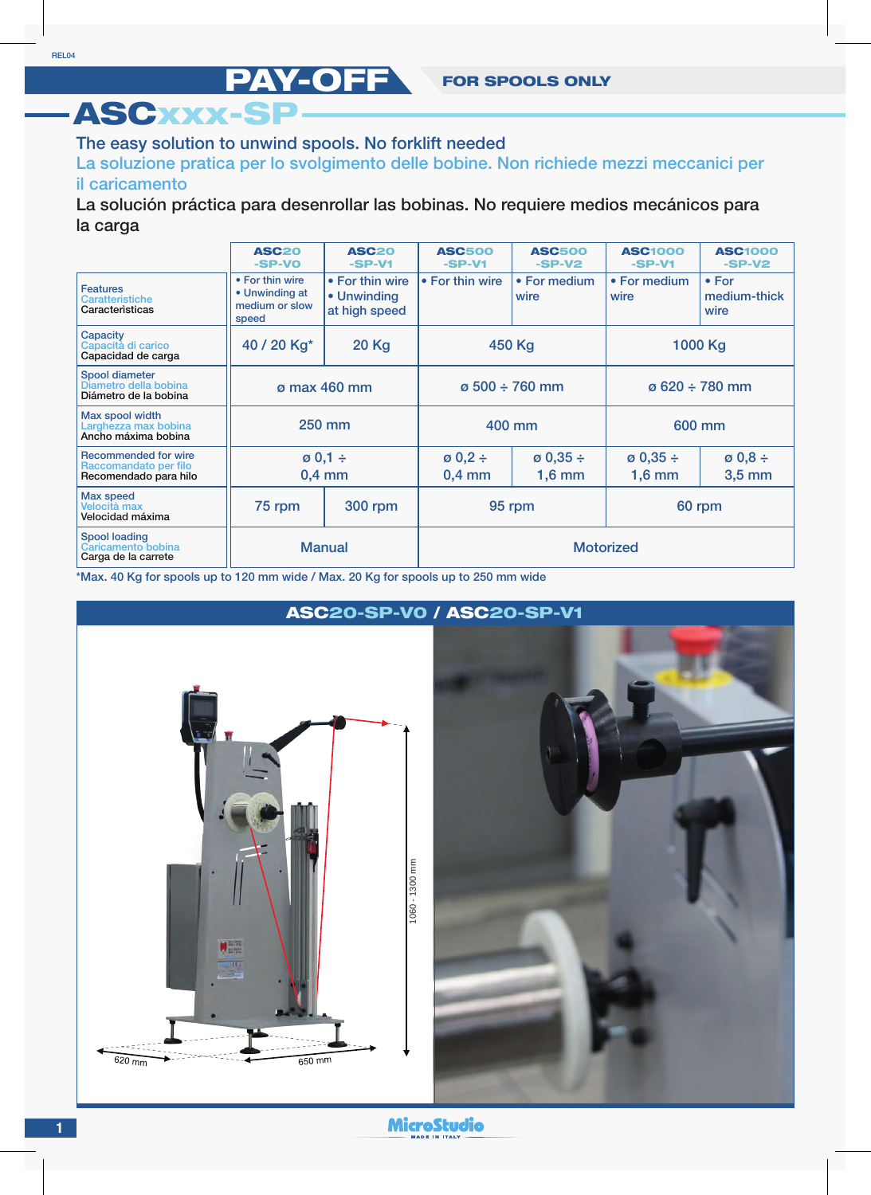## The easy solution to unwind spools. No forklift needed

ASCxxx-SP

La soluzione pratica per lo svolgimento delle bobine. Non richiede mezzi meccanici per il caricamento

La solución práctica para desenrollar las bobinas. No requiere medios mecánicos para la carga

|                                                                               | <b>ASC20</b><br>-SP-VO                                       | <b>ASC20</b><br>$-SP-V1$                        | <b>ASC500</b><br>$-SP-V1$     | <b>ASC500</b><br>$-SP-V2$        | <b>ASC1000</b><br>$-SP-V1$       | <b>ASC1000</b><br>$-SP-V2$            |
|-------------------------------------------------------------------------------|--------------------------------------------------------------|-------------------------------------------------|-------------------------------|----------------------------------|----------------------------------|---------------------------------------|
| <b>Features</b><br>Caratteristiche<br>Caracteristicas                         | • For thin wire<br>• Unwinding at<br>medium or slow<br>speed | • For thin wire<br>• Unwinding<br>at high speed | • For thin wire               | • For medium<br>wire             | • For medium<br>wire             | $\bullet$ For<br>medium-thick<br>wire |
| Capacity<br>Capacità di carico<br>Capacidad de carga                          | 40 / 20 Kg*                                                  | <b>20 Kg</b>                                    | 450 Kg                        |                                  | 1000 Kg                          |                                       |
| Spool diameter<br>Diametro della bobina<br>Diámetro de la bobina              | ø max 460 mm                                                 |                                                 | $\varphi$ 500 ÷ 760 mm        |                                  | $\sigma$ 620 ÷ 780 mm            |                                       |
| Max spool width<br>Larghezza max bobina<br>Ancho máxima bobina                | <b>250 mm</b>                                                |                                                 | 400 mm                        |                                  | 600 mm                           |                                       |
| <b>Recommended for wire</b><br>Raccomandato per filo<br>Recomendado para hilo | $\varnothing$ 0,1 ÷<br>$0,4$ mm                              |                                                 | $\emptyset$ 0,2 ÷<br>$0,4$ mm | $\varnothing$ 0,35 ÷<br>$1,6$ mm | $\varnothing$ 0,35 ÷<br>$1,6$ mm | $\emptyset$ 0,8 ÷<br>$3,5$ mm         |
| Max speed<br>Velocità max<br>Velocidad máxima                                 | 75 rpm                                                       | <b>300 rpm</b>                                  | 95 rpm                        |                                  | 60 rpm                           |                                       |
| <b>Spool loading</b><br>Caricamento bobina<br>Carga de la carrete             | <b>Manual</b>                                                |                                                 | <b>Motorized</b>              |                                  |                                  |                                       |

\*Max. 40 Kg for spools up to 120 mm wide / Max. 20 Kg for spools up to 250 mm wide